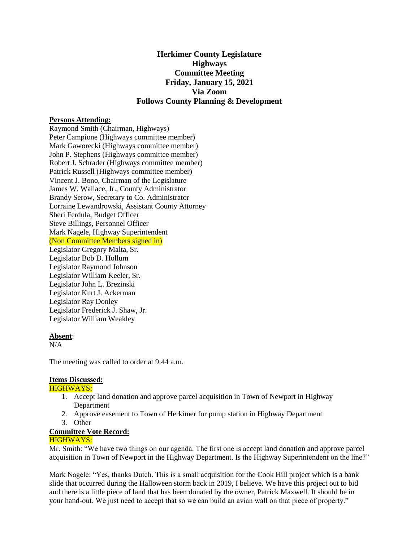# **Herkimer County Legislature Highways Committee Meeting Friday, January 15, 2021 Via Zoom Follows County Planning & Development**

### **Persons Attending:**

Raymond Smith (Chairman, Highways) Peter Campione (Highways committee member) Mark Gaworecki (Highways committee member) John P. Stephens (Highways committee member) Robert J. Schrader (Highways committee member) Patrick Russell (Highways committee member) Vincent J. Bono, Chairman of the Legislature James W. Wallace, Jr., County Administrator Brandy Serow, Secretary to Co. Administrator Lorraine Lewandrowski, Assistant County Attorney Sheri Ferdula, Budget Officer Steve Billings, Personnel Officer Mark Nagele, Highway Superintendent (Non Committee Members signed in)

Legislator Gregory Malta, Sr. Legislator Bob D. Hollum Legislator Raymond Johnson Legislator William Keeler, Sr. Legislator John L. Brezinski Legislator Kurt J. Ackerman Legislator Ray Donley Legislator Frederick J. Shaw, Jr. Legislator William Weakley

#### **Absent**:

 $N/A$ 

The meeting was called to order at 9:44 a.m.

#### **Items Discussed:**

#### HIGHWAYS:

- 1. Accept land donation and approve parcel acquisition in Town of Newport in Highway Department
- 2. Approve easement to Town of Herkimer for pump station in Highway Department
- 3. Other

### **Committee Vote Record:**

## HIGHWAYS:

Mr. Smith: "We have two things on our agenda. The first one is accept land donation and approve parcel acquisition in Town of Newport in the Highway Department. Is the Highway Superintendent on the line?"

Mark Nagele: "Yes, thanks Dutch. This is a small acquisition for the Cook Hill project which is a bank slide that occurred during the Halloween storm back in 2019, I believe. We have this project out to bid and there is a little piece of land that has been donated by the owner, Patrick Maxwell. It should be in your hand-out. We just need to accept that so we can build an avian wall on that piece of property."